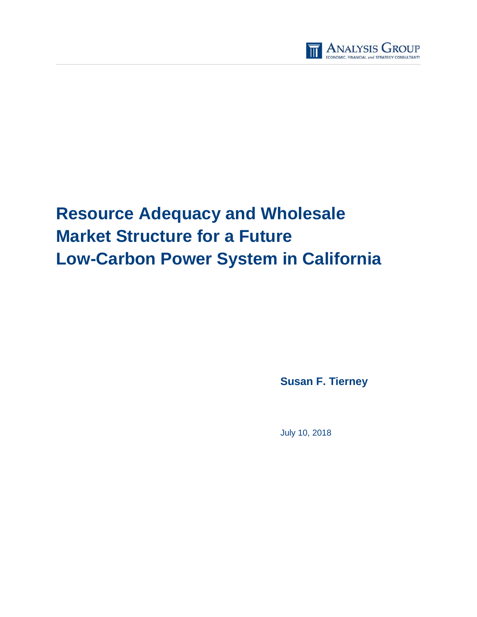

# **Resource Adequacy and Wholesale Market Structure for a Future Low-Carbon Power System in California**

**Susan F. Tierney**

July 10, 2018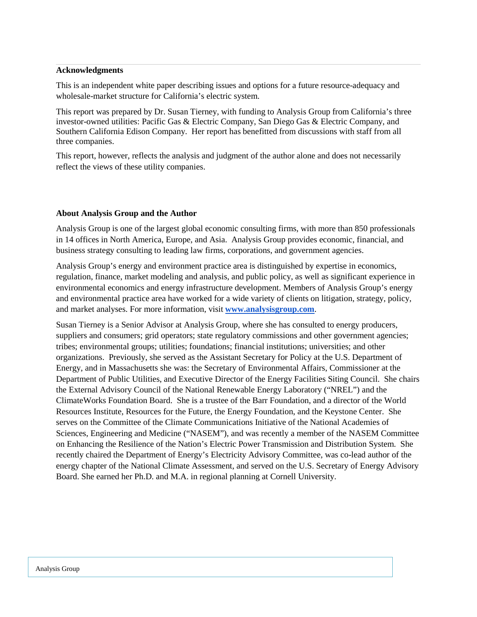#### **Acknowledgments**

This is an independent white paper describing issues and options for a future resource-adequacy and wholesale-market structure for California's electric system.

This report was prepared by Dr. Susan Tierney, with funding to Analysis Group from California's three investor-owned utilities: Pacific Gas & Electric Company, San Diego Gas & Electric Company, and Southern California Edison Company. Her report has benefitted from discussions with staff from all three companies.

This report, however, reflects the analysis and judgment of the author alone and does not necessarily reflect the views of these utility companies.

#### **About Analysis Group and the Author**

Analysis Group is one of the largest global economic consulting firms, with more than 850 professionals in 14 offices in North America, Europe, and Asia. Analysis Group provides economic, financial, and business strategy consulting to leading law firms, corporations, and government agencies.

Analysis Group's energy and environment practice area is distinguished by expertise in economics, regulation, finance, market modeling and analysis, and public policy, as well as significant experience in environmental economics and energy infrastructure development. Members of Analysis Group's energy and environmental practice area have worked for a wide variety of clients on litigation, strategy, policy, and market analyses. For more information, visit **[www.analysisgroup.com](https://mailtrack.io/trace/link/648ff6fdb3d368fa834a79c913057a02683bd8d0?url=http%3A%2F%2Fwww.analysisgroup.com%2F&userId=1678180&signature=9e7a6a2a47d88df2)**.

Susan Tierney is a Senior Advisor at Analysis Group, where she has consulted to energy producers, suppliers and consumers; grid operators; state regulatory commissions and other government agencies; tribes; environmental groups; utilities; foundations; financial institutions; universities; and other organizations. Previously, she served as the Assistant Secretary for Policy at the U.S. Department of Energy, and in Massachusetts she was: the Secretary of Environmental Affairs, Commissioner at the Department of Public Utilities, and Executive Director of the Energy Facilities Siting Council. She chairs the External Advisory Council of the National Renewable Energy Laboratory ("NREL") and the ClimateWorks Foundation Board. She is a trustee of the Barr Foundation, and a director of the World Resources Institute, Resources for the Future, the Energy Foundation, and the Keystone Center. She serves on the Committee of the Climate Communications Initiative of the National Academies of Sciences, Engineering and Medicine ("NASEM"), and was recently a member of the NASEM Committee on Enhancing the Resilience of the Nation's Electric Power Transmission and Distribution System. She recently chaired the Department of Energy's Electricity Advisory Committee, was co-lead author of the energy chapter of the National Climate Assessment, and served on the U.S. Secretary of Energy Advisory Board. She earned her Ph.D. and M.A. in regional planning at Cornell University.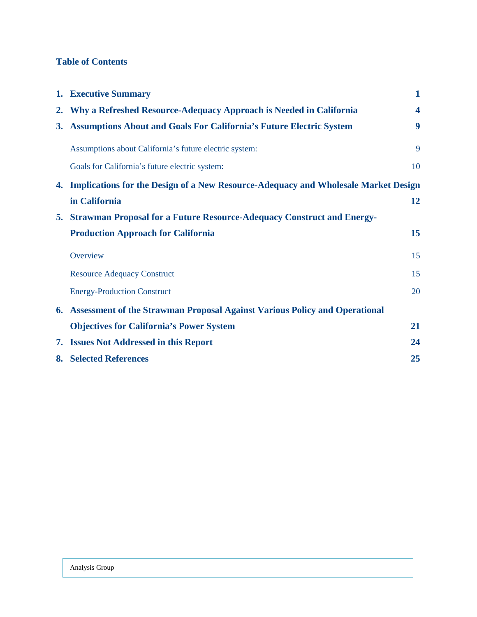# **Table of Contents**

|    | 1. Executive Summary                                                                  | $\mathbf{1}$            |
|----|---------------------------------------------------------------------------------------|-------------------------|
|    | 2. Why a Refreshed Resource-Adequacy Approach is Needed in California                 | $\overline{\mathbf{4}}$ |
|    | 3. Assumptions About and Goals For California's Future Electric System                | 9                       |
|    | Assumptions about California's future electric system:                                | 9                       |
|    | Goals for California's future electric system:                                        | 10                      |
|    | 4. Implications for the Design of a New Resource-Adequacy and Wholesale Market Design |                         |
|    | in California                                                                         | 12                      |
| 5. | <b>Strawman Proposal for a Future Resource-Adequacy Construct and Energy-</b>         |                         |
|    | <b>Production Approach for California</b>                                             | 15                      |
|    | Overview                                                                              | 15                      |
|    | <b>Resource Adequacy Construct</b>                                                    | 15                      |
|    | <b>Energy-Production Construct</b>                                                    | 20                      |
|    | 6. Assessment of the Strawman Proposal Against Various Policy and Operational         |                         |
|    | <b>Objectives for California's Power System</b>                                       | 21                      |
|    | 7. Issues Not Addressed in this Report                                                | 24                      |
|    | <b>8. Selected References</b>                                                         | 25                      |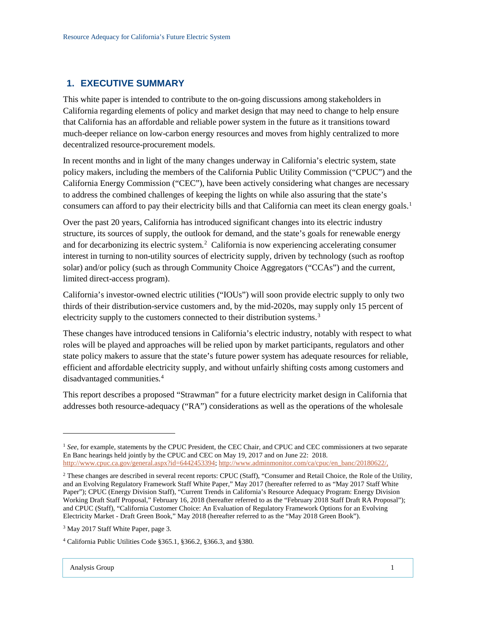## <span id="page-3-0"></span>**1. EXECUTIVE SUMMARY**

This white paper is intended to contribute to the on-going discussions among stakeholders in California regarding elements of policy and market design that may need to change to help ensure that California has an affordable and reliable power system in the future as it transitions toward much-deeper reliance on low-carbon energy resources and moves from highly centralized to more decentralized resource-procurement models.

In recent months and in light of the many changes underway in California's electric system, state policy makers, including the members of the California Public Utility Commission ("CPUC") and the California Energy Commission ("CEC"), have been actively considering what changes are necessary to address the combined challenges of keeping the lights on while also assuring that the state's consumers can afford to pay their electricity bills and that California can meet its clean energy goals. [1](#page-3-1)

Over the past 20 years, California has introduced significant changes into its electric industry structure, its sources of supply, the outlook for demand, and the state's goals for renewable energy and for decarbonizing its electric system.<sup>[2](#page-3-2)</sup> California is now experiencing accelerating consumer interest in turning to non-utility sources of electricity supply, driven by technology (such as rooftop solar) and/or policy (such as through Community Choice Aggregators ("CCAs") and the current, limited direct-access program).

California's investor-owned electric utilities ("IOUs") will soon provide electric supply to only two thirds of their distribution-service customers and, by the mid-2020s, may supply only 15 percent of electricity supply to the customers connected to their distribution systems.<sup>[3](#page-3-3)</sup>

These changes have introduced tensions in California's electric industry, notably with respect to what roles will be played and approaches will be relied upon by market participants, regulators and other state policy makers to assure that the state's future power system has adequate resources for reliable, efficient and affordable electricity supply, and without unfairly shifting costs among customers and disadvantaged communities. [4](#page-3-4)

This report describes a proposed "Strawman" for a future electricity market design in California that addresses both resource-adequacy ("RA") considerations as well as the operations of the wholesale

<span id="page-3-1"></span><sup>&</sup>lt;sup>1</sup> See, for example, statements by the CPUC President, the CEC Chair, and CPUC and CEC commissioners at two separate En Banc hearings held jointly by the CPUC and CEC on May 19, 2017 and on June 22: 2018. [http://www.cpuc.ca.gov/general.aspx?id=6442453394;](http://www.cpuc.ca.gov/general.aspx?id=6442453394) [http://www.adminmonitor.com/ca/cpuc/en\\_banc/20180622/,](http://www.adminmonitor.com/ca/cpuc/en_banc/20180622/)

<span id="page-3-2"></span><sup>2</sup> These changes are described in several recent reports: CPUC (Staff), "Consumer and Retail Choice, the Role of the Utility, and an Evolving Regulatory Framework Staff White Paper," May 2017 (hereafter referred to as "May 2017 Staff White Paper"); CPUC (Energy Division Staff), "Current Trends in California's Resource Adequacy Program: Energy Division Working Draft Staff Proposal," February 16, 2018 (hereafter referred to as the "February 2018 Staff Draft RA Proposal"); and CPUC (Staff), "California Customer Choice: An Evaluation of Regulatory Framework Options for an Evolving Electricity Market - Draft Green Book," May 2018 (hereafter referred to as the "May 2018 Green Book").

<span id="page-3-3"></span><sup>&</sup>lt;sup>3</sup> May 2017 Staff White Paper, page 3.

<span id="page-3-4"></span><sup>4</sup> California Public Utilities Code §365.1, §366.2, §366.3, and §380.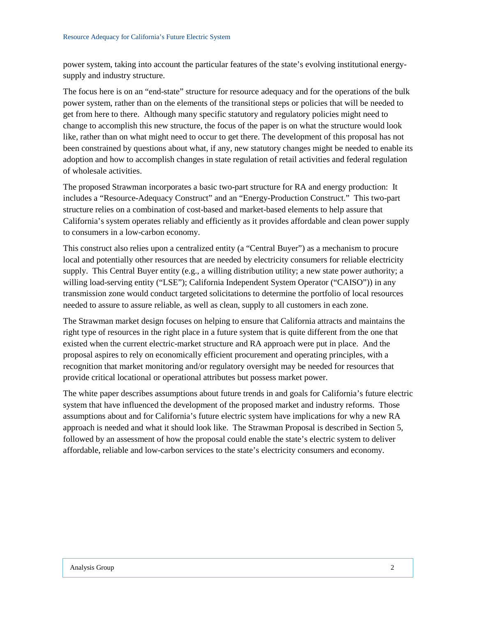power system, taking into account the particular features of the state's evolving institutional energysupply and industry structure.

The focus here is on an "end-state" structure for resource adequacy and for the operations of the bulk power system, rather than on the elements of the transitional steps or policies that will be needed to get from here to there. Although many specific statutory and regulatory policies might need to change to accomplish this new structure, the focus of the paper is on what the structure would look like, rather than on what might need to occur to get there. The development of this proposal has not been constrained by questions about what, if any, new statutory changes might be needed to enable its adoption and how to accomplish changes in state regulation of retail activities and federal regulation of wholesale activities.

The proposed Strawman incorporates a basic two-part structure for RA and energy production: It includes a "Resource-Adequacy Construct" and an "Energy-Production Construct." This two-part structure relies on a combination of cost-based and market-based elements to help assure that California's system operates reliably and efficiently as it provides affordable and clean power supply to consumers in a low-carbon economy.

This construct also relies upon a centralized entity (a "Central Buyer") as a mechanism to procure local and potentially other resources that are needed by electricity consumers for reliable electricity supply. This Central Buyer entity (e.g., a willing distribution utility; a new state power authority; a willing load-serving entity ("LSE"); California Independent System Operator ("CAISO")) in any transmission zone would conduct targeted solicitations to determine the portfolio of local resources needed to assure to assure reliable, as well as clean, supply to all customers in each zone.

The Strawman market design focuses on helping to ensure that California attracts and maintains the right type of resources in the right place in a future system that is quite different from the one that existed when the current electric-market structure and RA approach were put in place. And the proposal aspires to rely on economically efficient procurement and operating principles, with a recognition that market monitoring and/or regulatory oversight may be needed for resources that provide critical locational or operational attributes but possess market power.

The white paper describes assumptions about future trends in and goals for California's future electric system that have influenced the development of the proposed market and industry reforms. Those assumptions about and for California's future electric system have implications for why a new RA approach is needed and what it should look like. The Strawman Proposal is described in Section 5, followed by an assessment of how the proposal could enable the state's electric system to deliver affordable, reliable and low-carbon services to the state's electricity consumers and economy.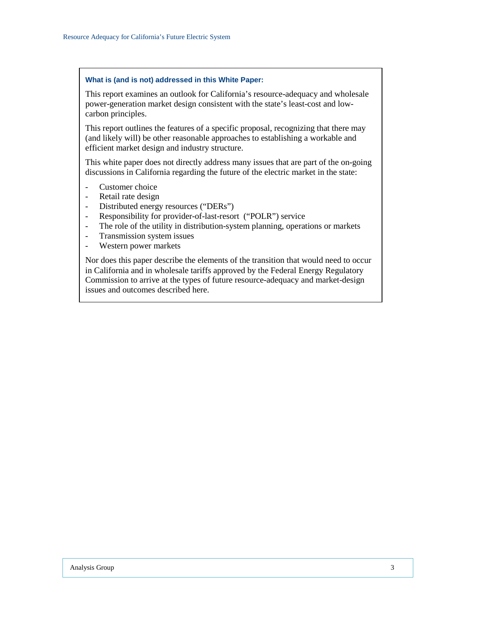#### **What is (and is not) addressed in this White Paper:**

This report examines an outlook for California's resource-adequacy and wholesale power-generation market design consistent with the state's least-cost and lowcarbon principles.

This report outlines the features of a specific proposal, recognizing that there may (and likely will) be other reasonable approaches to establishing a workable and efficient market design and industry structure.

This white paper does not directly address many issues that are part of the on-going discussions in California regarding the future of the electric market in the state:

- Customer choice
- Retail rate design
- Distributed energy resources ("DERs")
- Responsibility for provider-of-last-resort ("POLR") service
- The role of the utility in distribution-system planning, operations or markets
- Transmission system issues
- Western power markets

Nor does this paper describe the elements of the transition that would need to occur in California and in wholesale tariffs approved by the Federal Energy Regulatory Commission to arrive at the types of future resource-adequacy and market-design issues and outcomes described here.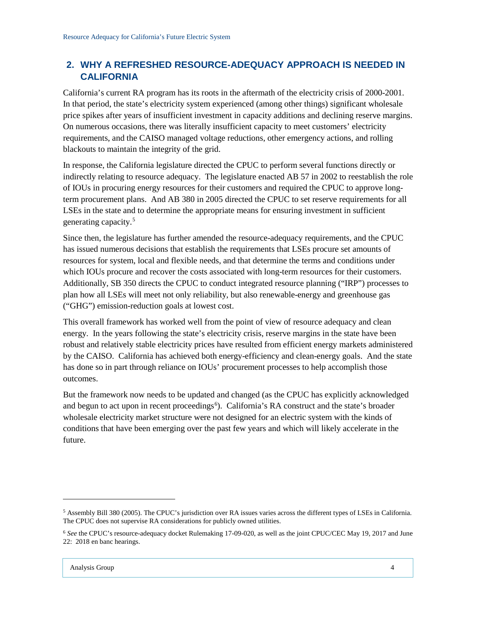## <span id="page-6-0"></span>**2. WHY A REFRESHED RESOURCE-ADEQUACY APPROACH IS NEEDED IN CALIFORNIA**

California's current RA program has its roots in the aftermath of the electricity crisis of 2000-2001. In that period, the state's electricity system experienced (among other things) significant wholesale price spikes after years of insufficient investment in capacity additions and declining reserve margins. On numerous occasions, there was literally insufficient capacity to meet customers' electricity requirements, and the CAISO managed voltage reductions, other emergency actions, and rolling blackouts to maintain the integrity of the grid.

In response, the California legislature directed the CPUC to perform several functions directly or indirectly relating to resource adequacy. The legislature enacted AB 57 in 2002 to reestablish the role of IOUs in procuring energy resources for their customers and required the CPUC to approve longterm procurement plans. And AB 380 in 2005 directed the CPUC to set reserve requirements for all LSEs in the state and to determine the appropriate means for ensuring investment in sufficient generating capacity.[5](#page-6-1)

Since then, the legislature has further amended the resource-adequacy requirements, and the CPUC has issued numerous decisions that establish the requirements that LSEs procure set amounts of resources for system, local and flexible needs, and that determine the terms and conditions under which IOUs procure and recover the costs associated with long-term resources for their customers. Additionally, SB 350 directs the CPUC to conduct integrated resource planning ("IRP") processes to plan how all LSEs will meet not only reliability, but also renewable-energy and greenhouse gas ("GHG") emission-reduction goals at lowest cost.

This overall framework has worked well from the point of view of resource adequacy and clean energy. In the years following the state's electricity crisis, reserve margins in the state have been robust and relatively stable electricity prices have resulted from efficient energy markets administered by the CAISO. California has achieved both energy-efficiency and clean-energy goals. And the state has done so in part through reliance on IOUs' procurement processes to help accomplish those outcomes.

But the framework now needs to be updated and changed (as the CPUC has explicitly acknowledged and begun to act upon in recent proceedings<sup>[6](#page-6-2)</sup>). California's RA construct and the state's broader wholesale electricity market structure were not designed for an electric system with the kinds of conditions that have been emerging over the past few years and which will likely accelerate in the future.

<span id="page-6-1"></span><sup>5</sup> Assembly Bill 380 (2005). The CPUC's jurisdiction over RA issues varies across the different types of LSEs in California. The CPUC does not supervise RA considerations for publicly owned utilities.

<span id="page-6-2"></span><sup>6</sup> *See* the CPUC's resource-adequacy docket Rulemaking 17-09-020, as well as the joint CPUC/CEC May 19, 2017 and June 22: 2018 en banc hearings.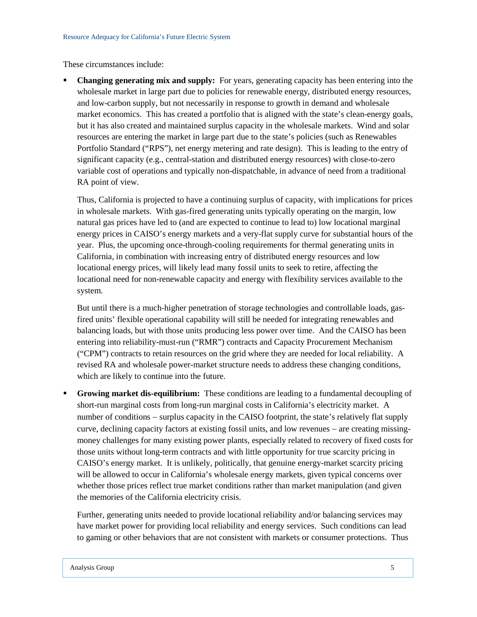These circumstances include:

 **Changing generating mix and supply:** For years, generating capacity has been entering into the wholesale market in large part due to policies for renewable energy, distributed energy resources, and low-carbon supply, but not necessarily in response to growth in demand and wholesale market economics. This has created a portfolio that is aligned with the state's clean-energy goals, but it has also created and maintained surplus capacity in the wholesale markets. Wind and solar resources are entering the market in large part due to the state's policies (such as Renewables Portfolio Standard ("RPS"), net energy metering and rate design). This is leading to the entry of significant capacity (e.g., central-station and distributed energy resources) with close-to-zero variable cost of operations and typically non-dispatchable, in advance of need from a traditional RA point of view.

Thus, California is projected to have a continuing surplus of capacity, with implications for prices in wholesale markets. With gas-fired generating units typically operating on the margin, low natural gas prices have led to (and are expected to continue to lead to) low locational marginal energy prices in CAISO's energy markets and a very-flat supply curve for substantial hours of the year. Plus, the upcoming once-through-cooling requirements for thermal generating units in California, in combination with increasing entry of distributed energy resources and low locational energy prices, will likely lead many fossil units to seek to retire, affecting the locational need for non-renewable capacity and energy with flexibility services available to the system.

But until there is a much-higher penetration of storage technologies and controllable loads, gasfired units' flexible operational capability will still be needed for integrating renewables and balancing loads, but with those units producing less power over time. And the CAISO has been entering into reliability-must-run ("RMR") contracts and Capacity Procurement Mechanism ("CPM") contracts to retain resources on the grid where they are needed for local reliability. A revised RA and wholesale power-market structure needs to address these changing conditions, which are likely to continue into the future.

 **Growing market dis-equilibrium:** These conditions are leading to a fundamental decoupling of short-run marginal costs from long-run marginal costs in California's electricity market. A number of conditions – surplus capacity in the CAISO footprint, the state's relatively flat supply curve, declining capacity factors at existing fossil units, and low revenues − are creating missingmoney challenges for many existing power plants, especially related to recovery of fixed costs for those units without long-term contracts and with little opportunity for true scarcity pricing in CAISO's energy market. It is unlikely, politically, that genuine energy-market scarcity pricing will be allowed to occur in California's wholesale energy markets, given typical concerns over whether those prices reflect true market conditions rather than market manipulation (and given the memories of the California electricity crisis.

Further, generating units needed to provide locational reliability and/or balancing services may have market power for providing local reliability and energy services. Such conditions can lead to gaming or other behaviors that are not consistent with markets or consumer protections. Thus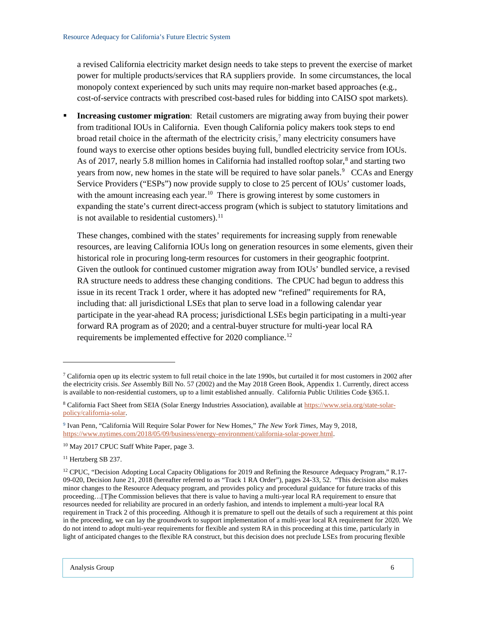a revised California electricity market design needs to take steps to prevent the exercise of market power for multiple products/services that RA suppliers provide. In some circumstances, the local monopoly context experienced by such units may require non-market based approaches (e.g., cost-of-service contracts with prescribed cost-based rules for bidding into CAISO spot markets).

 **Increasing customer migration**: Retail customers are migrating away from buying their power from traditional IOUs in California. Even though California policy makers took steps to end broad retail choice in the aftermath of the electricity crisis,<sup>[7](#page-8-0)</sup> many electricity consumers have found ways to exercise other options besides buying full, bundled electricity service from IOUs. As of 2017, nearly 5.8 million homes in California had installed rooftop solar, [8](#page-8-1) and starting two years from now, new homes in the state will be required to have solar panels.<sup>[9](#page-8-2)</sup> CCAs and Energy Service Providers ("ESPs") now provide supply to close to 25 percent of IOUs' customer loads, with the amount increasing each year.<sup>[10](#page-8-3)</sup> There is growing interest by some customers in expanding the state's current direct-access program (which is subject to statutory limitations and is not available to residential customers).<sup>[11](#page-8-4)</sup>

These changes, combined with the states' requirements for increasing supply from renewable resources, are leaving California IOUs long on generation resources in some elements, given their historical role in procuring long-term resources for customers in their geographic footprint. Given the outlook for continued customer migration away from IOUs' bundled service, a revised RA structure needs to address these changing conditions. The CPUC had begun to address this issue in its recent Track 1 order, where it has adopted new "refined" requirements for RA, including that: all jurisdictional LSEs that plan to serve load in a following calendar year participate in the year-ahead RA process; jurisdictional LSEs begin participating in a multi-year forward RA program as of 2020; and a central-buyer structure for multi-year local RA requirements be implemented effective for 2020 compliance.<sup>[12](#page-8-5)</sup>

<span id="page-8-0"></span> $\frac{7}{1}$  California open up its electric system to full retail choice in the late 1990s, but curtailed it for most customers in 2002 after the electricity crisis. *See* Assembly Bill No. 57 (2002) and the May 2018 Green Book, Appendix 1. Currently, direct access is available to non-residential customers, up to a limit established annually. California Public Utilities Code §365.1.

<span id="page-8-1"></span><sup>8</sup> California Fact Sheet from SEIA (Solar Energy Industries Association), available a[t https://www.seia.org/state-solar](https://www.seia.org/state-solar-policy/california-solar)[policy/california-solar.](https://www.seia.org/state-solar-policy/california-solar)

<span id="page-8-2"></span><sup>9</sup> Ivan Penn, "California Will Require Solar Power for New Homes," *The New York Times,* May 9, 2018, [https://www.nytimes.com/2018/05/09/business/energy-environment/california-solar-power.html.](https://www.nytimes.com/2018/05/09/business/energy-environment/california-solar-power.html)

<span id="page-8-3"></span><sup>&</sup>lt;sup>10</sup> May 2017 CPUC Staff White Paper, page 3.

<span id="page-8-4"></span><sup>11</sup> Hertzberg SB 237.

<span id="page-8-5"></span><sup>&</sup>lt;sup>12</sup> CPUC, "Decision Adopting Local Capacity Obligations for 2019 and Refining the Resource Adequacy Program," R.17-09-020, Decision June 21, 2018 (hereafter referred to as "Track 1 RA Order"), pages 24-33, 52. "This decision also makes minor changes to the Resource Adequacy program, and provides policy and procedural guidance for future tracks of this proceeding…[T]he Commission believes that there is value to having a multi-year local RA requirement to ensure that resources needed for reliability are procured in an orderly fashion, and intends to implement a multi-year local RA requirement in Track 2 of this proceeding. Although it is premature to spell out the details of such a requirement at this point in the proceeding, we can lay the groundwork to support implementation of a multi-year local RA requirement for 2020. We do not intend to adopt multi-year requirements for flexible and system RA in this proceeding at this time, particularly in light of anticipated changes to the flexible RA construct, but this decision does not preclude LSEs from procuring flexible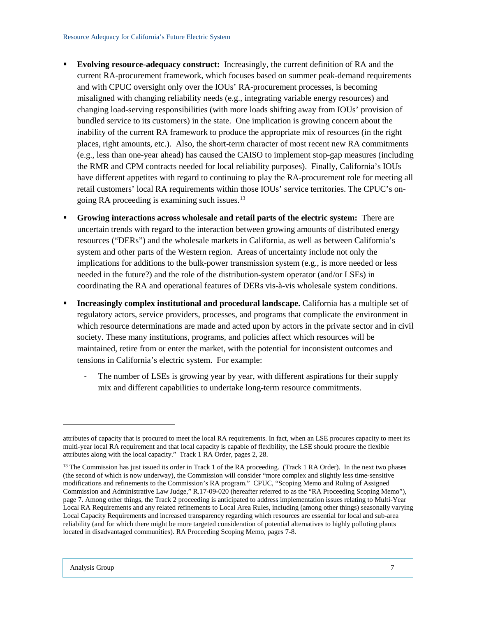- **Evolving resource-adequacy construct:** Increasingly, the current definition of RA and the current RA-procurement framework, which focuses based on summer peak-demand requirements and with CPUC oversight only over the IOUs' RA-procurement processes, is becoming misaligned with changing reliability needs (e.g., integrating variable energy resources) and changing load-serving responsibilities (with more loads shifting away from IOUs' provision of bundled service to its customers) in the state. One implication is growing concern about the inability of the current RA framework to produce the appropriate mix of resources (in the right places, right amounts, etc.). Also, the short-term character of most recent new RA commitments (e.g., less than one-year ahead) has caused the CAISO to implement stop-gap measures (including the RMR and CPM contracts needed for local reliability purposes). Finally, California's IOUs have different appetites with regard to continuing to play the RA-procurement role for meeting all retail customers' local RA requirements within those IOUs' service territories. The CPUC's ongoing RA proceeding is examining such issues.[13](#page-9-0)
- **Growing interactions across wholesale and retail parts of the electric system:** There are uncertain trends with regard to the interaction between growing amounts of distributed energy resources ("DERs") and the wholesale markets in California, as well as between California's system and other parts of the Western region. Areas of uncertainty include not only the implications for additions to the bulk-power transmission system (e.g., is more needed or less needed in the future?) and the role of the distribution-system operator (and/or LSEs) in coordinating the RA and operational features of DERs vis-à-vis wholesale system conditions.
- **Increasingly complex institutional and procedural landscape.** California has a multiple set of regulatory actors, service providers, processes, and programs that complicate the environment in which resource determinations are made and acted upon by actors in the private sector and in civil society. These many institutions, programs, and policies affect which resources will be maintained, retire from or enter the market, with the potential for inconsistent outcomes and tensions in California's electric system. For example:
	- The number of LSEs is growing year by year, with different aspirations for their supply mix and different capabilities to undertake long-term resource commitments.

attributes of capacity that is procured to meet the local RA requirements. In fact, when an LSE procures capacity to meet its multi-year local RA requirement and that local capacity is capable of flexibility, the LSE should procure the flexible attributes along with the local capacity." Track 1 RA Order, pages 2, 28.

<span id="page-9-0"></span><sup>&</sup>lt;sup>13</sup> The Commission has just issued its order in Track 1 of the RA proceeding. (Track 1 RA Order). In the next two phases (the second of which is now underway), the Commission will consider "more complex and slightly less time-sensitive modifications and refinements to the Commission's RA program." CPUC, "Scoping Memo and Ruling of Assigned Commission and Administrative Law Judge," R.17-09-020 (hereafter referred to as the "RA Proceeding Scoping Memo"), page 7. Among other things, the Track 2 proceeding is anticipated to address implementation issues relating to Multi-Year Local RA Requirements and any related refinements to Local Area Rules, including (among other things) seasonally varying Local Capacity Requirements and increased transparency regarding which resources are essential for local and sub-area reliability (and for which there might be more targeted consideration of potential alternatives to highly polluting plants located in disadvantaged communities). RA Proceeding Scoping Memo, pages 7-8.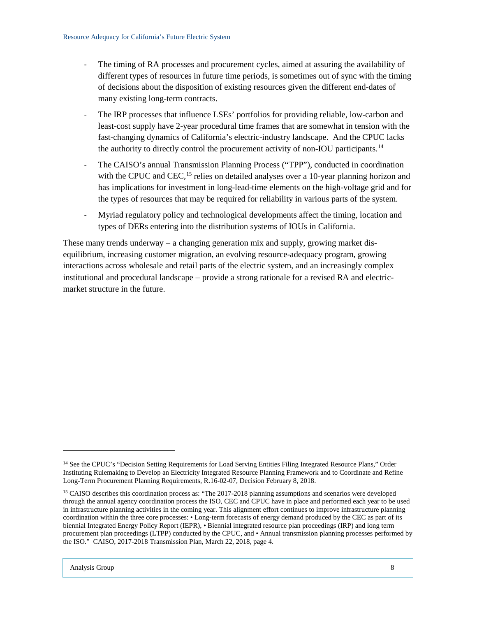- The timing of RA processes and procurement cycles, aimed at assuring the availability of different types of resources in future time periods, is sometimes out of sync with the timing of decisions about the disposition of existing resources given the different end-dates of many existing long-term contracts.
- The IRP processes that influence LSEs' portfolios for providing reliable, low-carbon and least-cost supply have 2-year procedural time frames that are somewhat in tension with the fast-changing dynamics of California's electric-industry landscape. And the CPUC lacks the authority to directly control the procurement activity of non-IOU participants.<sup>[14](#page-10-0)</sup>
- The CAISO's annual Transmission Planning Process ("TPP"), conducted in coordination with the CPUC and CEC,<sup>[15](#page-10-1)</sup> relies on detailed analyses over a 10-year planning horizon and has implications for investment in long-lead-time elements on the high-voltage grid and for the types of resources that may be required for reliability in various parts of the system.
- Myriad regulatory policy and technological developments affect the timing, location and types of DERs entering into the distribution systems of IOUs in California.

These many trends underway − a changing generation mix and supply, growing market disequilibrium, increasing customer migration, an evolving resource-adequacy program, growing interactions across wholesale and retail parts of the electric system, and an increasingly complex institutional and procedural landscape − provide a strong rationale for a revised RA and electricmarket structure in the future.

<span id="page-10-0"></span><sup>&</sup>lt;sup>14</sup> See the CPUC's "Decision Setting Requirements for Load Serving Entities Filing Integrated Resource Plans," Order Instituting Rulemaking to Develop an Electricity Integrated Resource Planning Framework and to Coordinate and Refine Long-Term Procurement Planning Requirements, R.16-02-07, Decision February 8, 2018.

<span id="page-10-1"></span><sup>&</sup>lt;sup>15</sup> CAISO describes this coordination process as: "The 2017-2018 planning assumptions and scenarios were developed through the annual agency coordination process the ISO, CEC and CPUC have in place and performed each year to be used in infrastructure planning activities in the coming year. This alignment effort continues to improve infrastructure planning coordination within the three core processes: • Long-term forecasts of energy demand produced by the CEC as part of its biennial Integrated Energy Policy Report (IEPR), • Biennial integrated resource plan proceedings (IRP) and long term procurement plan proceedings (LTPP) conducted by the CPUC, and • Annual transmission planning processes performed by the ISO." CAISO, 2017-2018 Transmission Plan, March 22, 2018, page 4.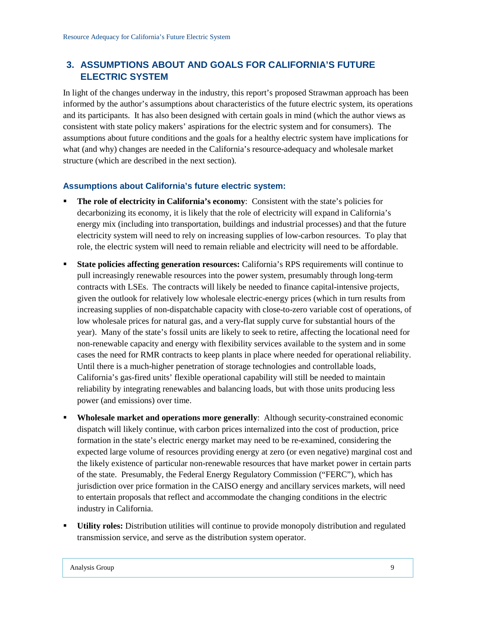## <span id="page-11-0"></span>**3. ASSUMPTIONS ABOUT AND GOALS FOR CALIFORNIA'S FUTURE ELECTRIC SYSTEM**

In light of the changes underway in the industry, this report's proposed Strawman approach has been informed by the author's assumptions about characteristics of the future electric system, its operations and its participants. It has also been designed with certain goals in mind (which the author views as consistent with state policy makers' aspirations for the electric system and for consumers). The assumptions about future conditions and the goals for a healthy electric system have implications for what (and why) changes are needed in the California's resource-adequacy and wholesale market structure (which are described in the next section).

#### <span id="page-11-1"></span>**Assumptions about California's future electric system:**

- **The role of electricity in California's economy**: Consistent with the state's policies for decarbonizing its economy, it is likely that the role of electricity will expand in California's energy mix (including into transportation, buildings and industrial processes) and that the future electricity system will need to rely on increasing supplies of low-carbon resources. To play that role, the electric system will need to remain reliable and electricity will need to be affordable.
- **State policies affecting generation resources:** California's RPS requirements will continue to pull increasingly renewable resources into the power system, presumably through long-term contracts with LSEs. The contracts will likely be needed to finance capital-intensive projects, given the outlook for relatively low wholesale electric-energy prices (which in turn results from increasing supplies of non-dispatchable capacity with close-to-zero variable cost of operations, of low wholesale prices for natural gas, and a very-flat supply curve for substantial hours of the year). Many of the state's fossil units are likely to seek to retire, affecting the locational need for non-renewable capacity and energy with flexibility services available to the system and in some cases the need for RMR contracts to keep plants in place where needed for operational reliability. Until there is a much-higher penetration of storage technologies and controllable loads, California's gas-fired units' flexible operational capability will still be needed to maintain reliability by integrating renewables and balancing loads, but with those units producing less power (and emissions) over time.
- **Wholesale market and operations more generally**: Although security-constrained economic dispatch will likely continue, with carbon prices internalized into the cost of production, price formation in the state's electric energy market may need to be re-examined, considering the expected large volume of resources providing energy at zero (or even negative) marginal cost and the likely existence of particular non-renewable resources that have market power in certain parts of the state. Presumably, the Federal Energy Regulatory Commission ("FERC"), which has jurisdiction over price formation in the CAISO energy and ancillary services markets, will need to entertain proposals that reflect and accommodate the changing conditions in the electric industry in California.
- **Utility roles:** Distribution utilities will continue to provide monopoly distribution and regulated transmission service, and serve as the distribution system operator.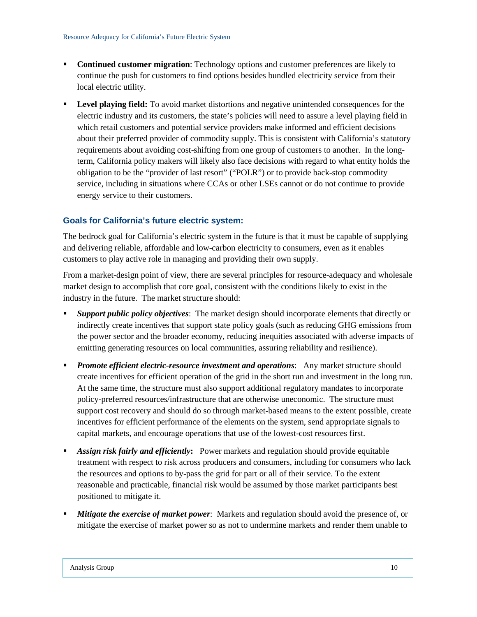- **Continued customer migration**: Technology options and customer preferences are likely to continue the push for customers to find options besides bundled electricity service from their local electric utility.
- **Level playing field:** To avoid market distortions and negative unintended consequences for the electric industry and its customers, the state's policies will need to assure a level playing field in which retail customers and potential service providers make informed and efficient decisions about their preferred provider of commodity supply. This is consistent with California's statutory requirements about avoiding cost-shifting from one group of customers to another. In the longterm, California policy makers will likely also face decisions with regard to what entity holds the obligation to be the "provider of last resort" ("POLR") or to provide back-stop commodity service, including in situations where CCAs or other LSEs cannot or do not continue to provide energy service to their customers.

#### <span id="page-12-0"></span>**Goals for California's future electric system:**

The bedrock goal for California's electric system in the future is that it must be capable of supplying and delivering reliable, affordable and low-carbon electricity to consumers, even as it enables customers to play active role in managing and providing their own supply.

From a market-design point of view, there are several principles for resource-adequacy and wholesale market design to accomplish that core goal, consistent with the conditions likely to exist in the industry in the future. The market structure should:

- *Support public policy objectives*: The market design should incorporate elements that directly or indirectly create incentives that support state policy goals (such as reducing GHG emissions from the power sector and the broader economy, reducing inequities associated with adverse impacts of emitting generating resources on local communities, assuring reliability and resilience).
- **Promote efficient electric-resource investment and operations:** Any market structure should create incentives for efficient operation of the grid in the short run and investment in the long run. At the same time, the structure must also support additional regulatory mandates to incorporate policy-preferred resources/infrastructure that are otherwise uneconomic. The structure must support cost recovery and should do so through market-based means to the extent possible, create incentives for efficient performance of the elements on the system, send appropriate signals to capital markets, and encourage operations that use of the lowest-cost resources first.
- *Assign risk fairly and efficiently***:** Power markets and regulation should provide equitable treatment with respect to risk across producers and consumers, including for consumers who lack the resources and options to by-pass the grid for part or all of their service. To the extent reasonable and practicable, financial risk would be assumed by those market participants best positioned to mitigate it.
- **Mitigate the exercise of market power:** Markets and regulation should avoid the presence of, or mitigate the exercise of market power so as not to undermine markets and render them unable to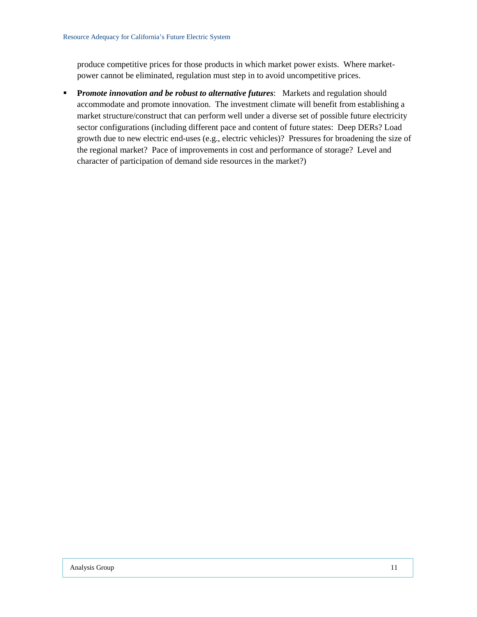produce competitive prices for those products in which market power exists. Where marketpower cannot be eliminated, regulation must step in to avoid uncompetitive prices.

**P***romote innovation and be robust to alternative futures*: Markets and regulation should accommodate and promote innovation. The investment climate will benefit from establishing a market structure/construct that can perform well under a diverse set of possible future electricity sector configurations (including different pace and content of future states: Deep DERs? Load growth due to new electric end-uses (e.g., electric vehicles)? Pressures for broadening the size of the regional market? Pace of improvements in cost and performance of storage? Level and character of participation of demand side resources in the market?)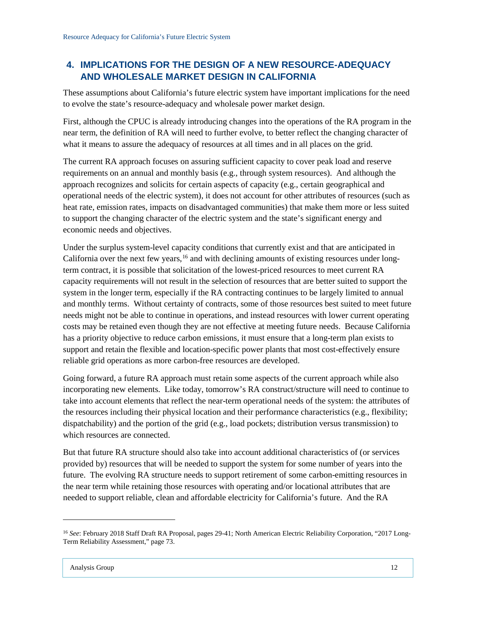## <span id="page-14-0"></span>**4. IMPLICATIONS FOR THE DESIGN OF A NEW RESOURCE-ADEQUACY AND WHOLESALE MARKET DESIGN IN CALIFORNIA**

These assumptions about California's future electric system have important implications for the need to evolve the state's resource-adequacy and wholesale power market design.

First, although the CPUC is already introducing changes into the operations of the RA program in the near term, the definition of RA will need to further evolve, to better reflect the changing character of what it means to assure the adequacy of resources at all times and in all places on the grid.

The current RA approach focuses on assuring sufficient capacity to cover peak load and reserve requirements on an annual and monthly basis (e.g., through system resources). And although the approach recognizes and solicits for certain aspects of capacity (e.g., certain geographical and operational needs of the electric system), it does not account for other attributes of resources (such as heat rate, emission rates, impacts on disadvantaged communities) that make them more or less suited to support the changing character of the electric system and the state's significant energy and economic needs and objectives.

Under the surplus system-level capacity conditions that currently exist and that are anticipated in California over the next few years,<sup>[16](#page-14-1)</sup> and with declining amounts of existing resources under longterm contract, it is possible that solicitation of the lowest-priced resources to meet current RA capacity requirements will not result in the selection of resources that are better suited to support the system in the longer term, especially if the RA contracting continues to be largely limited to annual and monthly terms. Without certainty of contracts, some of those resources best suited to meet future needs might not be able to continue in operations, and instead resources with lower current operating costs may be retained even though they are not effective at meeting future needs. Because California has a priority objective to reduce carbon emissions, it must ensure that a long-term plan exists to support and retain the flexible and location-specific power plants that most cost-effectively ensure reliable grid operations as more carbon-free resources are developed.

Going forward, a future RA approach must retain some aspects of the current approach while also incorporating new elements. Like today, tomorrow's RA construct/structure will need to continue to take into account elements that reflect the near-term operational needs of the system: the attributes of the resources including their physical location and their performance characteristics (e.g., flexibility; dispatchability) and the portion of the grid (e.g., load pockets; distribution versus transmission) to which resources are connected.

But that future RA structure should also take into account additional characteristics of (or services provided by) resources that will be needed to support the system for some number of years into the future. The evolving RA structure needs to support retirement of some carbon-emitting resources in the near term while retaining those resources with operating and/or locational attributes that are needed to support reliable, clean and affordable electricity for California's future. And the RA

<span id="page-14-1"></span><sup>16</sup> *See*: February 2018 Staff Draft RA Proposal, pages 29-41; North American Electric Reliability Corporation, "2017 Long-Term Reliability Assessment," page 73.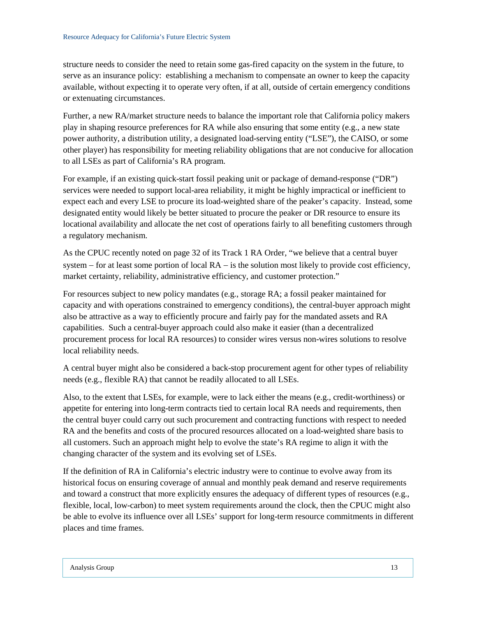structure needs to consider the need to retain some gas-fired capacity on the system in the future, to serve as an insurance policy: establishing a mechanism to compensate an owner to keep the capacity available, without expecting it to operate very often, if at all, outside of certain emergency conditions or extenuating circumstances.

Further, a new RA/market structure needs to balance the important role that California policy makers play in shaping resource preferences for RA while also ensuring that some entity (e.g., a new state power authority, a distribution utility, a designated load-serving entity ("LSE"), the CAISO, or some other player) has responsibility for meeting reliability obligations that are not conducive for allocation to all LSEs as part of California's RA program.

For example, if an existing quick-start fossil peaking unit or package of demand-response ("DR") services were needed to support local-area reliability, it might be highly impractical or inefficient to expect each and every LSE to procure its load-weighted share of the peaker's capacity. Instead, some designated entity would likely be better situated to procure the peaker or DR resource to ensure its locational availability and allocate the net cost of operations fairly to all benefiting customers through a regulatory mechanism.

As the CPUC recently noted on page 32 of its Track 1 RA Order, "we believe that a central buyer system – for at least some portion of local RA – is the solution most likely to provide cost efficiency, market certainty, reliability, administrative efficiency, and customer protection."

For resources subject to new policy mandates (e.g., storage RA; a fossil peaker maintained for capacity and with operations constrained to emergency conditions), the central-buyer approach might also be attractive as a way to efficiently procure and fairly pay for the mandated assets and RA capabilities. Such a central-buyer approach could also make it easier (than a decentralized procurement process for local RA resources) to consider wires versus non-wires solutions to resolve local reliability needs.

A central buyer might also be considered a back-stop procurement agent for other types of reliability needs (e.g., flexible RA) that cannot be readily allocated to all LSEs.

Also, to the extent that LSEs, for example, were to lack either the means (e.g., credit-worthiness) or appetite for entering into long-term contracts tied to certain local RA needs and requirements, then the central buyer could carry out such procurement and contracting functions with respect to needed RA and the benefits and costs of the procured resources allocated on a load-weighted share basis to all customers. Such an approach might help to evolve the state's RA regime to align it with the changing character of the system and its evolving set of LSEs.

If the definition of RA in California's electric industry were to continue to evolve away from its historical focus on ensuring coverage of annual and monthly peak demand and reserve requirements and toward a construct that more explicitly ensures the adequacy of different types of resources (e.g., flexible, local, low-carbon) to meet system requirements around the clock, then the CPUC might also be able to evolve its influence over all LSEs' support for long-term resource commitments in different places and time frames.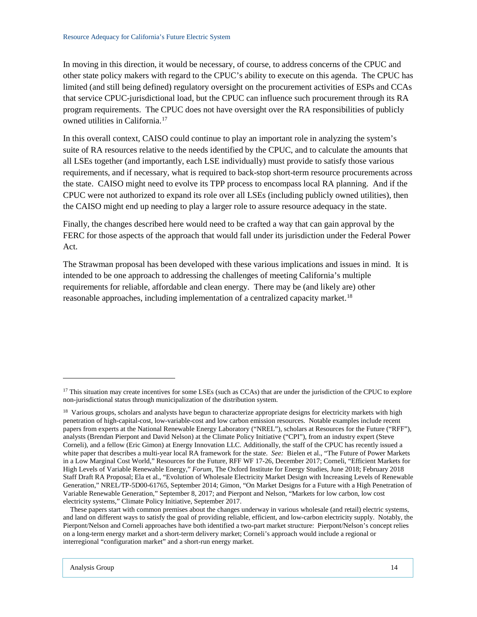In moving in this direction, it would be necessary, of course, to address concerns of the CPUC and other state policy makers with regard to the CPUC's ability to execute on this agenda. The CPUC has limited (and still being defined) regulatory oversight on the procurement activities of ESPs and CCAs that service CPUC-jurisdictional load, but the CPUC can influence such procurement through its RA program requirements. The CPUC does not have oversight over the RA responsibilities of publicly owned utilities in California.[17](#page-16-0)

In this overall context, CAISO could continue to play an important role in analyzing the system's suite of RA resources relative to the needs identified by the CPUC, and to calculate the amounts that all LSEs together (and importantly, each LSE individually) must provide to satisfy those various requirements, and if necessary, what is required to back-stop short-term resource procurements across the state. CAISO might need to evolve its TPP process to encompass local RA planning. And if the CPUC were not authorized to expand its role over all LSEs (including publicly owned utilities), then the CAISO might end up needing to play a larger role to assure resource adequacy in the state.

Finally, the changes described here would need to be crafted a way that can gain approval by the FERC for those aspects of the approach that would fall under its jurisdiction under the Federal Power Act.

The Strawman proposal has been developed with these various implications and issues in mind. It is intended to be one approach to addressing the challenges of meeting California's multiple requirements for reliable, affordable and clean energy. There may be (and likely are) other reasonable approaches, including implementation of a centralized capacity market.<sup>[18](#page-16-1)</sup>

<span id="page-16-0"></span><sup>&</sup>lt;sup>17</sup> This situation may create incentives for some LSEs (such as CCAs) that are under the jurisdiction of the CPUC to explore non-jurisdictional status through municipalization of the distribution system.

<span id="page-16-1"></span><sup>&</sup>lt;sup>18</sup> Various groups, scholars and analysts have begun to characterize appropriate designs for electricity markets with high penetration of high-capital-cost, low-variable-cost and low carbon emission resources. Notable examples include recent papers from experts at the National Renewable Energy Laboratory ("NREL"), scholars at Resources for the Future ("RFF"), analysts (Brendan Pierpont and David Nelson) at the Climate Policy Initiative ("CPI"), from an industry expert (Steve Corneli), and a fellow (Eric Gimon) at Energy Innovation LLC. Additionally, the staff of the CPUC has recently issued a white paper that describes a multi-year local RA framework for the state. *See:* Bielen et al., "The Future of Power Markets in a Low Marginal Cost World," Resources for the Future, RFF WF 17-26, December 2017; Corneli, "Efficient Markets for High Levels of Variable Renewable Energy," *Forum*, The Oxford Institute for Energy Studies, June 2018; February 2018 Staff Draft RA Proposal; Ela et al., "Evolution of Wholesale Electricity Market Design with Increasing Levels of Renewable Generation," NREL/TP-5D00-61765, September 2014; Gimon, "On Market Designs for a Future with a High Penetration of Variable Renewable Generation," September 8, 2017; and Pierpont and Nelson, "Markets for low carbon, low cost electricity systems," Climate Policy Initiative, September 2017.

These papers start with common premises about the changes underway in various wholesale (and retail) electric systems, and land on different ways to satisfy the goal of providing reliable, efficient, and low-carbon electricity supply. Notably, the Pierpont/Nelson and Corneli approaches have both identified a two-part market structure: Pierpont/Nelson's concept relies on a long-term energy market and a short-term delivery market; Corneli's approach would include a regional or interregional "configuration market" and a short-run energy market.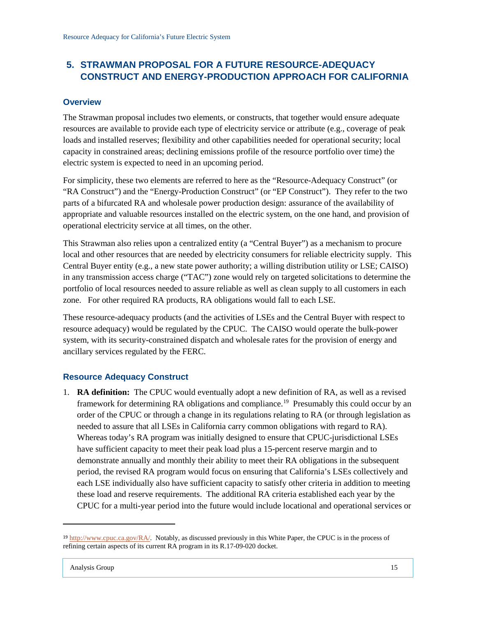## <span id="page-17-0"></span>**5. STRAWMAN PROPOSAL FOR A FUTURE RESOURCE-ADEQUACY CONSTRUCT AND ENERGY-PRODUCTION APPROACH FOR CALIFORNIA**

#### <span id="page-17-1"></span>**Overview**

The Strawman proposal includes two elements, or constructs, that together would ensure adequate resources are available to provide each type of electricity service or attribute (e.g., coverage of peak loads and installed reserves; flexibility and other capabilities needed for operational security; local capacity in constrained areas; declining emissions profile of the resource portfolio over time) the electric system is expected to need in an upcoming period.

For simplicity, these two elements are referred to here as the "Resource-Adequacy Construct" (or "RA Construct") and the "Energy-Production Construct" (or "EP Construct"). They refer to the two parts of a bifurcated RA and wholesale power production design: assurance of the availability of appropriate and valuable resources installed on the electric system, on the one hand, and provision of operational electricity service at all times, on the other.

This Strawman also relies upon a centralized entity (a "Central Buyer") as a mechanism to procure local and other resources that are needed by electricity consumers for reliable electricity supply. This Central Buyer entity (e.g., a new state power authority; a willing distribution utility or LSE; CAISO) in any transmission access charge ("TAC") zone would rely on targeted solicitations to determine the portfolio of local resources needed to assure reliable as well as clean supply to all customers in each zone. For other required RA products, RA obligations would fall to each LSE.

These resource-adequacy products (and the activities of LSEs and the Central Buyer with respect to resource adequacy) would be regulated by the CPUC. The CAISO would operate the bulk-power system, with its security-constrained dispatch and wholesale rates for the provision of energy and ancillary services regulated by the FERC.

## <span id="page-17-2"></span>**Resource Adequacy Construct**

1. **RA definition:** The CPUC would eventually adopt a new definition of RA, as well as a revised framework for determining RA obligations and compliance.[19](#page-17-3) Presumably this could occur by an order of the CPUC or through a change in its regulations relating to RA (or through legislation as needed to assure that all LSEs in California carry common obligations with regard to RA). Whereas today's RA program was initially designed to ensure that CPUC-jurisdictional LSEs have sufficient capacity to meet their peak load plus a 15-percent reserve margin and to demonstrate annually and monthly their ability to meet their RA obligations in the subsequent period, the revised RA program would focus on ensuring that California's LSEs collectively and each LSE individually also have sufficient capacity to satisfy other criteria in addition to meeting these load and reserve requirements. The additional RA criteria established each year by the CPUC for a multi-year period into the future would include locational and operational services or

<span id="page-17-3"></span><sup>&</sup>lt;sup>19</sup> [http://www.cpuc.ca.gov/RA/.](http://www.cpuc.ca.gov/RA/) Notably, as discussed previously in this White Paper, the CPUC is in the process of refining certain aspects of its current RA program in its R.17-09-020 docket.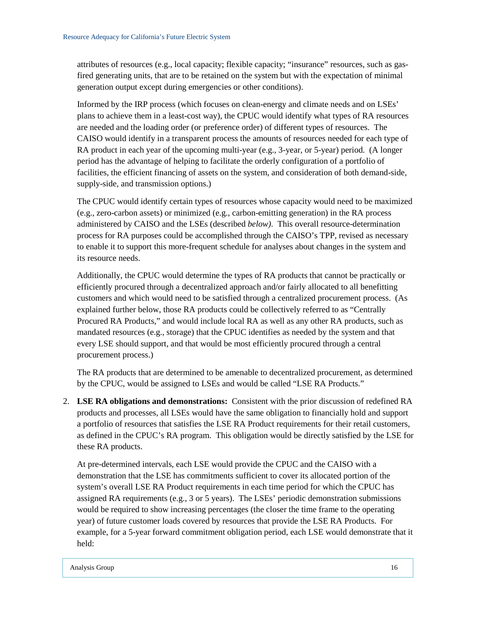attributes of resources (e.g., local capacity; flexible capacity; "insurance" resources, such as gasfired generating units, that are to be retained on the system but with the expectation of minimal generation output except during emergencies or other conditions).

Informed by the IRP process (which focuses on clean-energy and climate needs and on LSEs' plans to achieve them in a least-cost way), the CPUC would identify what types of RA resources are needed and the loading order (or preference order) of different types of resources. The CAISO would identify in a transparent process the amounts of resources needed for each type of RA product in each year of the upcoming multi-year (e.g., 3-year, or 5-year) period. (A longer period has the advantage of helping to facilitate the orderly configuration of a portfolio of facilities, the efficient financing of assets on the system, and consideration of both demand-side, supply-side, and transmission options.)

The CPUC would identify certain types of resources whose capacity would need to be maximized (e.g., zero-carbon assets) or minimized (e.g., carbon-emitting generation) in the RA process administered by CAISO and the LSEs (described *below)*. This overall resource-determination process for RA purposes could be accomplished through the CAISO's TPP, revised as necessary to enable it to support this more-frequent schedule for analyses about changes in the system and its resource needs.

Additionally, the CPUC would determine the types of RA products that cannot be practically or efficiently procured through a decentralized approach and/or fairly allocated to all benefitting customers and which would need to be satisfied through a centralized procurement process. (As explained further below, those RA products could be collectively referred to as "Centrally Procured RA Products," and would include local RA as well as any other RA products, such as mandated resources (e.g., storage) that the CPUC identifies as needed by the system and that every LSE should support, and that would be most efficiently procured through a central procurement process.)

The RA products that are determined to be amenable to decentralized procurement, as determined by the CPUC, would be assigned to LSEs and would be called "LSE RA Products."

2. **LSE RA obligations and demonstrations:** Consistent with the prior discussion of redefined RA products and processes, all LSEs would have the same obligation to financially hold and support a portfolio of resources that satisfies the LSE RA Product requirements for their retail customers, as defined in the CPUC's RA program. This obligation would be directly satisfied by the LSE for these RA products.

At pre-determined intervals, each LSE would provide the CPUC and the CAISO with a demonstration that the LSE has commitments sufficient to cover its allocated portion of the system's overall LSE RA Product requirements in each time period for which the CPUC has assigned RA requirements (e.g., 3 or 5 years). The LSEs' periodic demonstration submissions would be required to show increasing percentages (the closer the time frame to the operating year) of future customer loads covered by resources that provide the LSE RA Products. For example, for a 5-year forward commitment obligation period, each LSE would demonstrate that it held: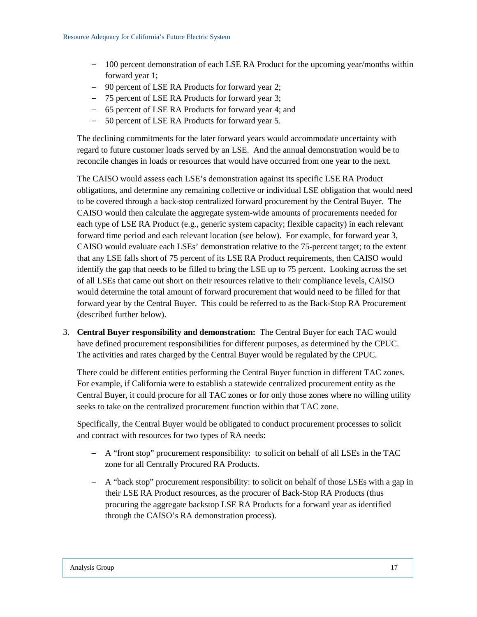- − 100 percent demonstration of each LSE RA Product for the upcoming year/months within forward year 1;
- − 90 percent of LSE RA Products for forward year 2;
- − 75 percent of LSE RA Products for forward year 3;
- − 65 percent of LSE RA Products for forward year 4; and
- − 50 percent of LSE RA Products for forward year 5.

The declining commitments for the later forward years would accommodate uncertainty with regard to future customer loads served by an LSE. And the annual demonstration would be to reconcile changes in loads or resources that would have occurred from one year to the next.

The CAISO would assess each LSE's demonstration against its specific LSE RA Product obligations, and determine any remaining collective or individual LSE obligation that would need to be covered through a back-stop centralized forward procurement by the Central Buyer. The CAISO would then calculate the aggregate system-wide amounts of procurements needed for each type of LSE RA Product (e.g., generic system capacity; flexible capacity) in each relevant forward time period and each relevant location (see below). For example, for forward year 3, CAISO would evaluate each LSEs' demonstration relative to the 75-percent target; to the extent that any LSE falls short of 75 percent of its LSE RA Product requirements, then CAISO would identify the gap that needs to be filled to bring the LSE up to 75 percent. Looking across the set of all LSEs that came out short on their resources relative to their compliance levels, CAISO would determine the total amount of forward procurement that would need to be filled for that forward year by the Central Buyer. This could be referred to as the Back-Stop RA Procurement (described further below).

3. **Central Buyer responsibility and demonstration:** The Central Buyer for each TAC would have defined procurement responsibilities for different purposes, as determined by the CPUC. The activities and rates charged by the Central Buyer would be regulated by the CPUC.

There could be different entities performing the Central Buyer function in different TAC zones. For example, if California were to establish a statewide centralized procurement entity as the Central Buyer, it could procure for all TAC zones or for only those zones where no willing utility seeks to take on the centralized procurement function within that TAC zone.

Specifically, the Central Buyer would be obligated to conduct procurement processes to solicit and contract with resources for two types of RA needs:

- − A "front stop" procurement responsibility: to solicit on behalf of all LSEs in the TAC zone for all Centrally Procured RA Products.
- − A "back stop" procurement responsibility: to solicit on behalf of those LSEs with a gap in their LSE RA Product resources, as the procurer of Back-Stop RA Products (thus procuring the aggregate backstop LSE RA Products for a forward year as identified through the CAISO's RA demonstration process).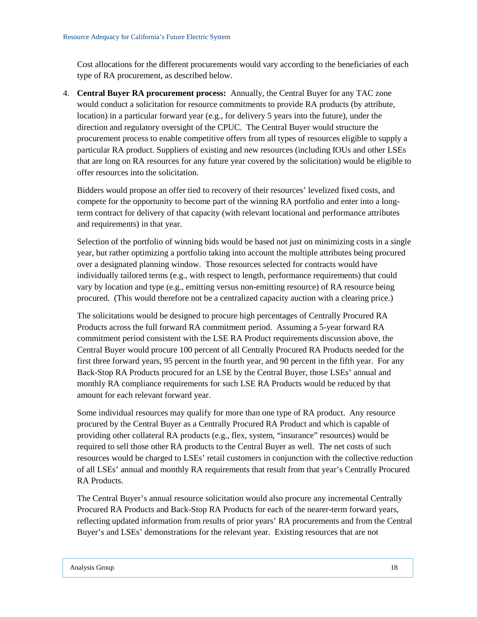Cost allocations for the different procurements would vary according to the beneficiaries of each type of RA procurement, as described below.

4. **Central Buyer RA procurement process:** Annually, the Central Buyer for any TAC zone would conduct a solicitation for resource commitments to provide RA products (by attribute, location) in a particular forward year (e.g., for delivery 5 years into the future), under the direction and regulatory oversight of the CPUC. The Central Buyer would structure the procurement process to enable competitive offers from all types of resources eligible to supply a particular RA product. Suppliers of existing and new resources (including IOUs and other LSEs that are long on RA resources for any future year covered by the solicitation) would be eligible to offer resources into the solicitation.

Bidders would propose an offer tied to recovery of their resources' levelized fixed costs, and compete for the opportunity to become part of the winning RA portfolio and enter into a longterm contract for delivery of that capacity (with relevant locational and performance attributes and requirements) in that year.

Selection of the portfolio of winning bids would be based not just on minimizing costs in a single year, but rather optimizing a portfolio taking into account the multiple attributes being procured over a designated planning window. Those resources selected for contracts would have individually tailored terms (e.g., with respect to length, performance requirements) that could vary by location and type (e.g., emitting versus non-emitting resource) of RA resource being procured. (This would therefore not be a centralized capacity auction with a clearing price.)

The solicitations would be designed to procure high percentages of Centrally Procured RA Products across the full forward RA commitment period. Assuming a 5-year forward RA commitment period consistent with the LSE RA Product requirements discussion above, the Central Buyer would procure 100 percent of all Centrally Procured RA Products needed for the first three forward years, 95 percent in the fourth year, and 90 percent in the fifth year. For any Back-Stop RA Products procured for an LSE by the Central Buyer, those LSEs' annual and monthly RA compliance requirements for such LSE RA Products would be reduced by that amount for each relevant forward year.

Some individual resources may qualify for more than one type of RA product. Any resource procured by the Central Buyer as a Centrally Procured RA Product and which is capable of providing other collateral RA products (e.g., flex, system, "insurance" resources) would be required to sell those other RA products to the Central Buyer as well. The net costs of such resources would be charged to LSEs' retail customers in conjunction with the collective reduction of all LSEs' annual and monthly RA requirements that result from that year's Centrally Procured RA Products.

The Central Buyer's annual resource solicitation would also procure any incremental Centrally Procured RA Products and Back-Stop RA Products for each of the nearer-term forward years, reflecting updated information from results of prior years' RA procurements and from the Central Buyer's and LSEs' demonstrations for the relevant year. Existing resources that are not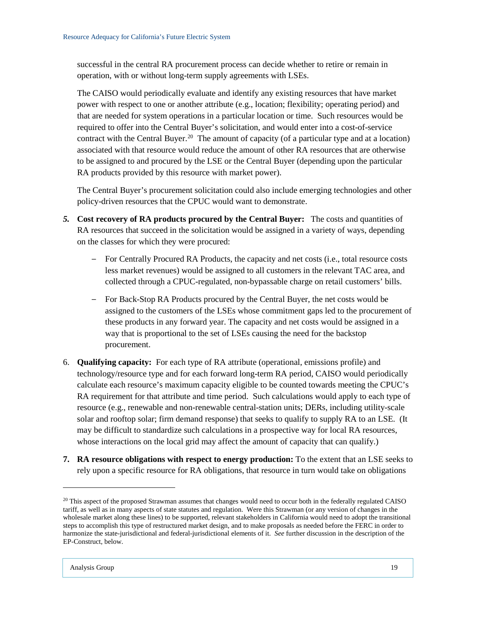successful in the central RA procurement process can decide whether to retire or remain in operation, with or without long-term supply agreements with LSEs.

The CAISO would periodically evaluate and identify any existing resources that have market power with respect to one or another attribute (e.g., location; flexibility; operating period) and that are needed for system operations in a particular location or time. Such resources would be required to offer into the Central Buyer's solicitation, and would enter into a cost-of-service contract with the Central Buyer.<sup>20</sup> The amount of capacity (of a particular type and at a location) associated with that resource would reduce the amount of other RA resources that are otherwise to be assigned to and procured by the LSE or the Central Buyer (depending upon the particular RA products provided by this resource with market power).

The Central Buyer's procurement solicitation could also include emerging technologies and other policy-driven resources that the CPUC would want to demonstrate.

- *5.* **Cost recovery of RA products procured by the Central Buyer:** The costs and quantities of RA resources that succeed in the solicitation would be assigned in a variety of ways, depending on the classes for which they were procured:
	- − For Centrally Procured RA Products, the capacity and net costs (i.e., total resource costs less market revenues) would be assigned to all customers in the relevant TAC area, and collected through a CPUC-regulated, non-bypassable charge on retail customers' bills.
	- − For Back-Stop RA Products procured by the Central Buyer, the net costs would be assigned to the customers of the LSEs whose commitment gaps led to the procurement of these products in any forward year. The capacity and net costs would be assigned in a way that is proportional to the set of LSEs causing the need for the backstop procurement.
- 6. **Qualifying capacity:** For each type of RA attribute (operational, emissions profile) and technology/resource type and for each forward long-term RA period, CAISO would periodically calculate each resource's maximum capacity eligible to be counted towards meeting the CPUC's RA requirement for that attribute and time period. Such calculations would apply to each type of resource (e.g., renewable and non-renewable central-station units; DERs, including utility-scale solar and rooftop solar; firm demand response) that seeks to qualify to supply RA to an LSE. (It may be difficult to standardize such calculations in a prospective way for local RA resources, whose interactions on the local grid may affect the amount of capacity that can qualify.)
- **7. RA resource obligations with respect to energy production:** To the extent that an LSE seeks to rely upon a specific resource for RA obligations, that resource in turn would take on obligations

<span id="page-21-0"></span><sup>&</sup>lt;sup>20</sup> This aspect of the proposed Strawman assumes that changes would need to occur both in the federally regulated CAISO tariff, as well as in many aspects of state statutes and regulation. Were this Strawman (or any version of changes in the wholesale market along these lines) to be supported, relevant stakeholders in California would need to adopt the transitional steps to accomplish this type of restructured market design, and to make proposals as needed before the FERC in order to harmonize the state-jurisdictional and federal-jurisdictional elements of it. *See* further discussion in the description of the EP-Construct, below.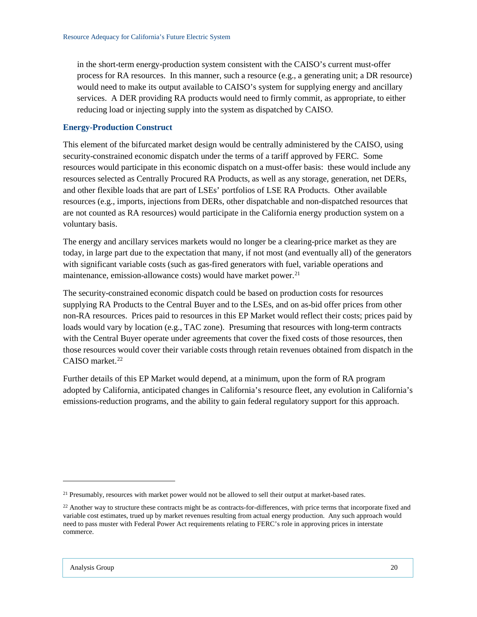in the short-term energy-production system consistent with the CAISO's current must-offer process for RA resources. In this manner, such a resource (e.g., a generating unit; a DR resource) would need to make its output available to CAISO's system for supplying energy and ancillary services. A DER providing RA products would need to firmly commit, as appropriate, to either reducing load or injecting supply into the system as dispatched by CAISO.

#### <span id="page-22-0"></span>**Energy-Production Construct**

This element of the bifurcated market design would be centrally administered by the CAISO, using security-constrained economic dispatch under the terms of a tariff approved by FERC. Some resources would participate in this economic dispatch on a must-offer basis: these would include any resources selected as Centrally Procured RA Products, as well as any storage, generation, net DERs, and other flexible loads that are part of LSEs' portfolios of LSE RA Products. Other available resources (e.g., imports, injections from DERs, other dispatchable and non-dispatched resources that are not counted as RA resources) would participate in the California energy production system on a voluntary basis.

The energy and ancillary services markets would no longer be a clearing-price market as they are today, in large part due to the expectation that many, if not most (and eventually all) of the generators with significant variable costs (such as gas-fired generators with fuel, variable operations and maintenance, emission-allowance costs) would have market power.<sup>21</sup>

The security-constrained economic dispatch could be based on production costs for resources supplying RA Products to the Central Buyer and to the LSEs, and on as-bid offer prices from other non-RA resources. Prices paid to resources in this EP Market would reflect their costs; prices paid by loads would vary by location (e.g., TAC zone). Presuming that resources with long-term contracts with the Central Buyer operate under agreements that cover the fixed costs of those resources, then those resources would cover their variable costs through retain revenues obtained from dispatch in the CAISO market.<sup>22</sup>

Further details of this EP Market would depend, at a minimum, upon the form of RA program adopted by California, anticipated changes in California's resource fleet, any evolution in California's emissions-reduction programs, and the ability to gain federal regulatory support for this approach.

<span id="page-22-1"></span><sup>&</sup>lt;sup>21</sup> Presumably, resources with market power would not be allowed to sell their output at market-based rates.

<span id="page-22-2"></span><sup>&</sup>lt;sup>22</sup> Another way to structure these contracts might be as contracts-for-differences, with price terms that incorporate fixed and variable cost estimates, trued up by market revenues resulting from actual energy production. Any such approach would need to pass muster with Federal Power Act requirements relating to FERC's role in approving prices in interstate commerce.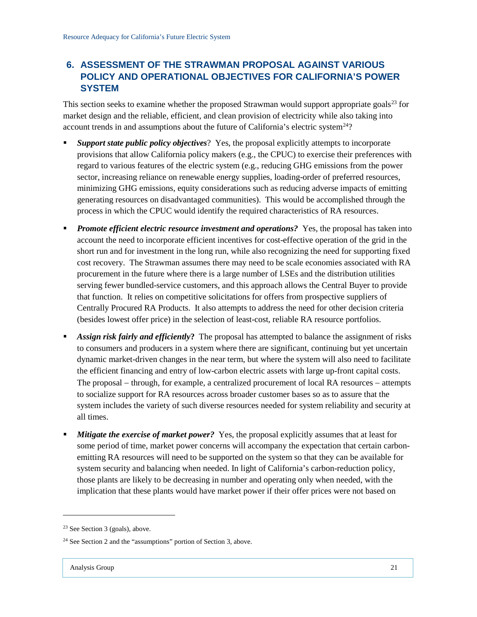## <span id="page-23-0"></span>**6. ASSESSMENT OF THE STRAWMAN PROPOSAL AGAINST VARIOUS POLICY AND OPERATIONAL OBJECTIVES FOR CALIFORNIA'S POWER SYSTEM**

This section seeks to examine whether the proposed Strawman would support appropriate goals<sup>[23](#page-23-1)</sup> for market design and the reliable, efficient, and clean provision of electricity while also taking into account trends in and assumptions about the future of California's electric system $^{24}$ ?

- *Support state public policy objectives*? Yes, the proposal explicitly attempts to incorporate provisions that allow California policy makers (e.g., the CPUC) to exercise their preferences with regard to various features of the electric system (e.g., reducing GHG emissions from the power sector, increasing reliance on renewable energy supplies, loading-order of preferred resources, minimizing GHG emissions, equity considerations such as reducing adverse impacts of emitting generating resources on disadvantaged communities). This would be accomplished through the process in which the CPUC would identify the required characteristics of RA resources.
- *Promote efficient electric resource investment and operations?* Yes, the proposal has taken into account the need to incorporate efficient incentives for cost-effective operation of the grid in the short run and for investment in the long run, while also recognizing the need for supporting fixed cost recovery. The Strawman assumes there may need to be scale economies associated with RA procurement in the future where there is a large number of LSEs and the distribution utilities serving fewer bundled-service customers, and this approach allows the Central Buyer to provide that function. It relies on competitive solicitations for offers from prospective suppliers of Centrally Procured RA Products. It also attempts to address the need for other decision criteria (besides lowest offer price) in the selection of least-cost, reliable RA resource portfolios.
- *Assign risk fairly and efficiently***?** The proposal has attempted to balance the assignment of risks to consumers and producers in a system where there are significant, continuing but yet uncertain dynamic market-driven changes in the near term, but where the system will also need to facilitate the efficient financing and entry of low-carbon electric assets with large up-front capital costs. The proposal – through, for example, a centralized procurement of local RA resources – attempts to socialize support for RA resources across broader customer bases so as to assure that the system includes the variety of such diverse resources needed for system reliability and security at all times.
- *Mitigate the exercise of market power?* Yes, the proposal explicitly assumes that at least for some period of time, market power concerns will accompany the expectation that certain carbonemitting RA resources will need to be supported on the system so that they can be available for system security and balancing when needed. In light of California's carbon-reduction policy, those plants are likely to be decreasing in number and operating only when needed, with the implication that these plants would have market power if their offer prices were not based on

<span id="page-23-1"></span><sup>23</sup> See Section 3 (goals), above.

<span id="page-23-2"></span><sup>24</sup> See Section 2 and the "assumptions" portion of Section 3, above.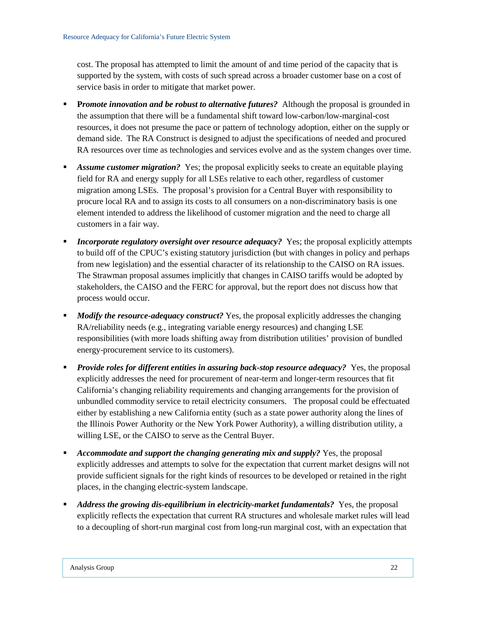cost. The proposal has attempted to limit the amount of and time period of the capacity that is supported by the system, with costs of such spread across a broader customer base on a cost of service basis in order to mitigate that market power.

- **Promote innovation and be robust to alternative futures?** Although the proposal is grounded in the assumption that there will be a fundamental shift toward low-carbon/low-marginal-cost resources, it does not presume the pace or pattern of technology adoption, either on the supply or demand side. The RA Construct is designed to adjust the specifications of needed and procured RA resources over time as technologies and services evolve and as the system changes over time.
- *Assume customer migration?* Yes; the proposal explicitly seeks to create an equitable playing field for RA and energy supply for all LSEs relative to each other, regardless of customer migration among LSEs. The proposal's provision for a Central Buyer with responsibility to procure local RA and to assign its costs to all consumers on a non-discriminatory basis is one element intended to address the likelihood of customer migration and the need to charge all customers in a fair way.
- **I** *Incorporate regulatory oversight over resource adequacy?* Yes; the proposal explicitly attempts to build off of the CPUC's existing statutory jurisdiction (but with changes in policy and perhaps from new legislation) and the essential character of its relationship to the CAISO on RA issues. The Strawman proposal assumes implicitly that changes in CAISO tariffs would be adopted by stakeholders, the CAISO and the FERC for approval, but the report does not discuss how that process would occur.
- **Modify the resource-adequacy construct?** Yes, the proposal explicitly addresses the changing RA/reliability needs (e.g., integrating variable energy resources) and changing LSE responsibilities (with more loads shifting away from distribution utilities' provision of bundled energy-procurement service to its customers).
- **Provide roles for different entities in assuring back-stop resource adequacy?** Yes, the proposal explicitly addresses the need for procurement of near-term and longer-term resources that fit California's changing reliability requirements and changing arrangements for the provision of unbundled commodity service to retail electricity consumers. The proposal could be effectuated either by establishing a new California entity (such as a state power authority along the lines of the Illinois Power Authority or the New York Power Authority), a willing distribution utility, a willing LSE, or the CAISO to serve as the Central Buyer.
- *Accommodate and support the changing generating mix and supply?* Yes, the proposal explicitly addresses and attempts to solve for the expectation that current market designs will not provide sufficient signals for the right kinds of resources to be developed or retained in the right places, in the changing electric-system landscape.
- *Address the growing dis-equilibrium in electricity-market fundamentals?* Yes, the proposal explicitly reflects the expectation that current RA structures and wholesale market rules will lead to a decoupling of short-run marginal cost from long-run marginal cost, with an expectation that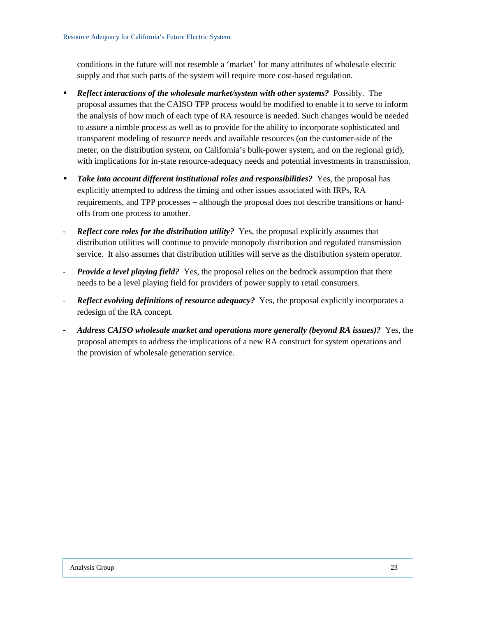conditions in the future will not resemble a 'market' for many attributes of wholesale electric supply and that such parts of the system will require more cost-based regulation.

- *Reflect interactions of the wholesale market/system with other systems?* Possibly. The proposal assumes that the CAISO TPP process would be modified to enable it to serve to inform the analysis of how much of each type of RA resource is needed. Such changes would be needed to assure a nimble process as well as to provide for the ability to incorporate sophisticated and transparent modeling of resource needs and available resources (on the customer-side of the meter, on the distribution system, on California's bulk-power system, and on the regional grid), with implications for in-state resource-adequacy needs and potential investments in transmission.
- *Take into account different institutional roles and responsibilities?* Yes, the proposal has explicitly attempted to address the timing and other issues associated with IRPs, RA requirements, and TPP processes − although the proposal does not describe transitions or handoffs from one process to another.
- *Reflect core roles for the distribution utility?* Yes, the proposal explicitly assumes that distribution utilities will continue to provide monopoly distribution and regulated transmission service. It also assumes that distribution utilities will serve as the distribution system operator.
- *Provide a level playing field?* Yes, the proposal relies on the bedrock assumption that there needs to be a level playing field for providers of power supply to retail consumers.
- *Reflect evolving definitions of resource adequacy?* Yes, the proposal explicitly incorporates a redesign of the RA concept.
- *Address CAISO wholesale market and operations more generally (beyond RA issues)?* Yes, the proposal attempts to address the implications of a new RA construct for system operations and the provision of wholesale generation service.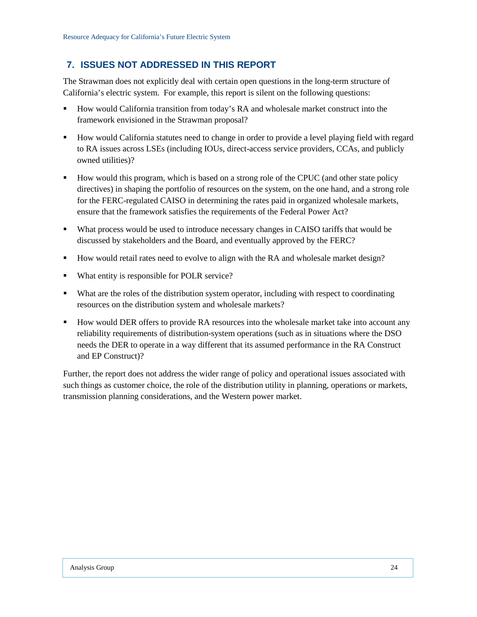## <span id="page-26-0"></span>**7. ISSUES NOT ADDRESSED IN THIS REPORT**

The Strawman does not explicitly deal with certain open questions in the long-term structure of California's electric system. For example, this report is silent on the following questions:

- How would California transition from today's RA and wholesale market construct into the framework envisioned in the Strawman proposal?
- How would California statutes need to change in order to provide a level playing field with regard to RA issues across LSEs (including IOUs, direct-access service providers, CCAs, and publicly owned utilities)?
- How would this program, which is based on a strong role of the CPUC (and other state policy directives) in shaping the portfolio of resources on the system, on the one hand, and a strong role for the FERC-regulated CAISO in determining the rates paid in organized wholesale markets, ensure that the framework satisfies the requirements of the Federal Power Act?
- What process would be used to introduce necessary changes in CAISO tariffs that would be discussed by stakeholders and the Board, and eventually approved by the FERC?
- How would retail rates need to evolve to align with the RA and wholesale market design?
- What entity is responsible for POLR service?
- What are the roles of the distribution system operator, including with respect to coordinating resources on the distribution system and wholesale markets?
- How would DER offers to provide RA resources into the wholesale market take into account any reliability requirements of distribution-system operations (such as in situations where the DSO needs the DER to operate in a way different that its assumed performance in the RA Construct and EP Construct)?

Further, the report does not address the wider range of policy and operational issues associated with such things as customer choice, the role of the distribution utility in planning, operations or markets, transmission planning considerations, and the Western power market.